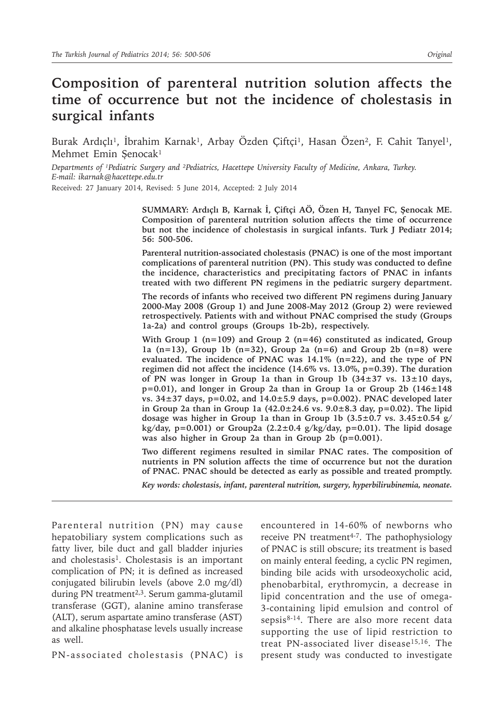# **Composition of parenteral nutrition solution affects the time of occurrence but not the incidence of cholestasis in surgical infants**

Burak Ardıçlı<sup>1</sup>, İbrahim Karnak<sup>1</sup>, Arbay Özden Çiftçi<sup>1</sup>, Hasan Özen<sup>2</sup>, F. Cahit Tanyel<sup>1</sup>, Mehmet Emin Şenocak<sup>1</sup>

*Departments of ¹Pediatric Surgery and ²Pediatrics, Hacettepe University Faculty of Medicine, Ankara, Turkey. E-mail: ikarnak@hacettepe.edu.tr*

Received: 27 January 2014, Revised: 5 June 2014, Accepted: 2 July 2014

**SUMMARY: Ardıçlı B, Karnak İ, Çiftçi AÖ, Özen H, Tanyel FC, Şenocak ME. Composition of parenteral nutrition solution affects the time of occurrence but not the incidence of cholestasis in surgical infants. Turk J Pediatr 2014; 56: 500-506.** 

**Parenteral nutrition-associated cholestasis (PNAC) is one of the most important complications of parenteral nutrition (PN). This study was conducted to define the incidence, characteristics and precipitating factors of PNAC in infants treated with two different PN regimens in the pediatric surgery department.** 

**The records of infants who received two different PN regimens during January 2000-May 2008 (Group 1) and June 2008-May 2012 (Group 2) were reviewed retrospectively. Patients with and without PNAC comprised the study (Groups 1a-2a) and control groups (Groups 1b-2b), respectively.** 

**With Group 1 (n=109) and Group 2 (n=46) constituted as indicated, Group 1a (n=13), Group 1b (n=32), Group 2a (n=6) and Group 2b (n=8) were evaluated. The incidence of PNAC was 14.1% (n=22), and the type of PN regimen did not affect the incidence (14.6% vs. 13.0%, p=0.39). The duration of PN was longer in Group 1a than in Group 1b (34±37 vs. 13±10 days, p=0.01), and longer in Group 2a than in Group 1a or Group 2b (146±148 vs. 34±37 days, p=0.02, and 14.0±5.9 days, p=0.002). PNAC developed later in Group 2a than in Group 1a (42.0±24.6 vs. 9.0±8.3 day, p=0.02). The lipid dosage was higher in Group 1a than in Group 1b (3.5±0.7 vs. 3.45±0.54 g/ kg/day, p=0.001) or Group2a (2.2±0.4 g/kg/day, p=0.01). The lipid dosage was also higher in Group 2a than in Group 2b (p=0.001).** 

**Two different regimens resulted in similar PNAC rates. The composition of nutrients in PN solution affects the time of occurrence but not the duration of PNAC. PNAC should be detected as early as possible and treated promptly.**

*Key words: cholestasis, infant, parenteral nutrition, surgery, hyperbilirubinemia, neonate.*

Parenteral nutrition (PN) may cause hepatobiliary system complications such as fatty liver, bile duct and gall bladder injuries and cholestasis<sup>1</sup>. Cholestasis is an important complication of PN; it is defined as increased conjugated bilirubin levels (above 2.0 mg/dl) during PN treatment<sup>2,3</sup>. Serum gamma-glutamil transferase (GGT), alanine amino transferase (ALT), serum aspartate amino transferase (AST) and alkaline phosphatase levels usually increase as well.

PN-associated cholestasis (PNAC) is

encountered in 14-60% of newborns who receive PN treatment<sup>4-7</sup>. The pathophysiology of PNAC is still obscure; its treatment is based on mainly enteral feeding, a cyclic PN regimen, binding bile acids with ursodeoxycholic acid, phenobarbital, erythromycin, a decrease in lipid concentration and the use of omega-3-containing lipid emulsion and control of sepsis<sup>8-14</sup>. There are also more recent data supporting the use of lipid restriction to treat PN-associated liver disease15,16. The present study was conducted to investigate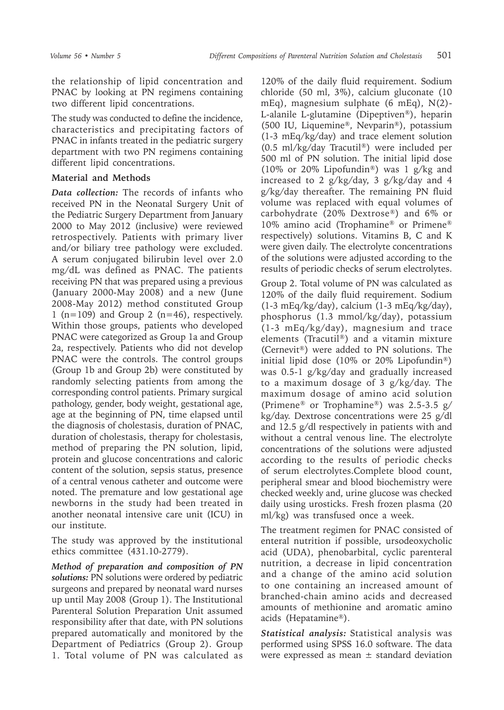the relationship of lipid concentration and PNAC by looking at PN regimens containing two different lipid concentrations.

The study was conducted to define the incidence, characteristics and precipitating factors of PNAC in infants treated in the pediatric surgery department with two PN regimens containing different lipid concentrations.

## **Material and Methods**

*Data collection:* The records of infants who received PN in the Neonatal Surgery Unit of the Pediatric Surgery Department from January 2000 to May 2012 (inclusive) were reviewed retrospectively. Patients with primary liver and/or biliary tree pathology were excluded. A serum conjugated bilirubin level over 2.0 mg/dL was defined as PNAC. The patients receiving PN that was prepared using a previous (January 2000-May 2008) and a new (June 2008-May 2012) method constituted Group 1 ( $n=109$ ) and Group 2 ( $n=46$ ), respectively. Within those groups, patients who developed PNAC were categorized as Group 1a and Group 2a, respectively. Patients who did not develop PNAC were the controls. The control groups (Group 1b and Group 2b) were constituted by randomly selecting patients from among the corresponding control patients. Primary surgical pathology, gender, body weight, gestational age, age at the beginning of PN, time elapsed until the diagnosis of cholestasis, duration of PNAC, duration of cholestasis, therapy for cholestasis, method of preparing the PN solution, lipid, protein and glucose concentrations and caloric content of the solution, sepsis status, presence of a central venous catheter and outcome were noted. The premature and low gestational age newborns in the study had been treated in another neonatal intensive care unit (ICU) in our institute.

The study was approved by the institutional ethics committee (431.10-2779).

*Method of preparation and composition of PN solutions:* PN solutions were ordered by pediatric surgeons and prepared by neonatal ward nurses up until May 2008 (Group 1). The Institutional Parenteral Solution Preparation Unit assumed responsibility after that date, with PN solutions prepared automatically and monitored by the Department of Pediatrics (Group 2). Group 1. Total volume of PN was calculated as

120% of the daily fluid requirement. Sodium chloride (50 ml, 3%), calcium gluconate (10 mEq), magnesium sulphate (6 mEq), N(2)- L-alanile L-glutamine (Dipeptiven®), heparin (500 IU, Liquemine®, Nevparin®), potassium (1-3 mEq/kg/day) and trace element solution (0.5 ml/kg/day Tracutil®) were included per 500 ml of PN solution. The initial lipid dose (10% or 20% Lipofundin®) was 1 g/kg and increased to 2 g/kg/day, 3 g/kg/day and 4 g/kg/day thereafter. The remaining PN fluid volume was replaced with equal volumes of carbohydrate (20% Dextrose®) and 6% or 10% amino acid (Trophamine® or Primene® respectively) solutions. Vitamins B, C and K were given daily. The electrolyte concentrations of the solutions were adjusted according to the results of periodic checks of serum electrolytes.

Group 2. Total volume of PN was calculated as 120% of the daily fluid requirement. Sodium (1-3 mEq/kg/day), calcium (1-3 mEq/kg/day), phosphorus (1.3 mmol/kg/day), potassium (1-3 mEq/kg/day), magnesium and trace elements (Tracutil®) and a vitamin mixture (Cernevit®) were added to PN solutions. The initial lipid dose (10% or 20% Lipofundin®) was 0.5-1 g/kg/day and gradually increased to a maximum dosage of 3 g/kg/day. The maximum dosage of amino acid solution (Primene® or Trophamine®) was 2.5-3.5 g/ kg/day. Dextrose concentrations were 25 g/dl and 12.5 g/dl respectively in patients with and without a central venous line. The electrolyte concentrations of the solutions were adjusted according to the results of periodic checks of serum electrolytes.Complete blood count, peripheral smear and blood biochemistry were checked weekly and, urine glucose was checked daily using urosticks. Fresh frozen plasma (20 ml/kg) was transfused once a week.

The treatment regimen for PNAC consisted of enteral nutrition if possible, ursodeoxycholic acid (UDA), phenobarbital, cyclic parenteral nutrition, a decrease in lipid concentration and a change of the amino acid solution to one containing an increased amount of branched-chain amino acids and decreased amounts of methionine and aromatic amino acids (Hepatamine®).

*Statistical analysis:* Statistical analysis was performed using SPSS 16.0 software. The data were expressed as mean  $\pm$  standard deviation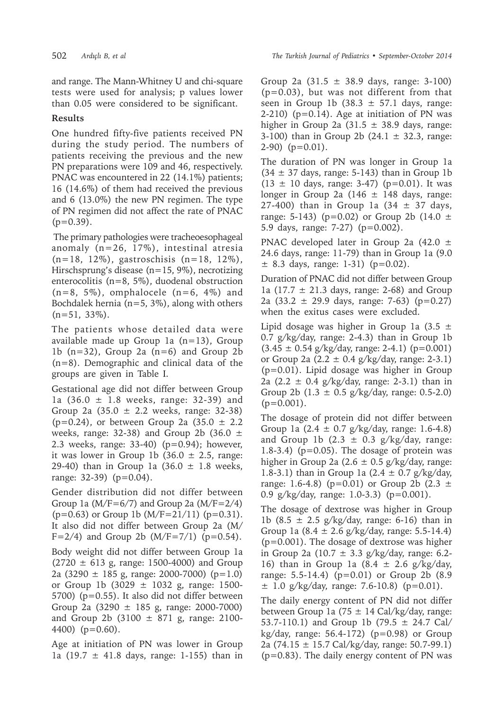and range. The Mann-Whitney U and chi-square tests were used for analysis; p values lower than 0.05 were considered to be significant.

## **Results**

One hundred fifty-five patients received PN during the study period. The numbers of patients receiving the previous and the new PN preparations were 109 and 46, respectively. PNAC was encountered in 22 (14.1%) patients; 16 (14.6%) of them had received the previous and 6 (13.0%) the new PN regimen. The type of PN regimen did not affect the rate of PNAC  $(p=0.39)$ .

 The primary pathologies were tracheoesophageal anomaly (n=26, 17%), intestinal atresia (n=18, 12%), gastroschisis (n=18, 12%), Hirschsprung's disease (n=15, 9%), necrotizing enterocolitis (n=8, 5%), duodenal obstruction  $(n=8, 5\%)$ , omphalocele  $(n=6, 4\%)$  and Bochdalek hernia ( $n=5$ , 3%), along with others  $(n=51, 33\%).$ 

The patients whose detailed data were available made up Group 1a (n=13), Group 1b  $(n=32)$ , Group 2a  $(n=6)$  and Group 2b (n=8). Demographic and clinical data of the groups are given in Table I.

Gestational age did not differ between Group 1a (36.0 ± 1.8 weeks, range: 32-39) and Group 2a  $(35.0 \pm 2.2 \text{ weeks}, \text{range: } 32-38)$ ( $p=0.24$ ), or between Group 2a (35.0  $\pm$  2.2 weeks, range: 32-38) and Group 2b (36.0  $\pm$ 2.3 weeks, range: 33-40) (p=0.94); however, it was lower in Group 1b (36.0  $\pm$  2.5, range: 29-40) than in Group 1a  $(36.0 \pm 1.8 \text{ weeks},$ range: 32-39) (p=0.04).

Gender distribution did not differ between Group 1a  $(M/F=6/7)$  and Group 2a  $(M/F=2/4)$  $(p=0.63)$  or Group 1b  $(M/F=21/11)$   $(p=0.31)$ . It also did not differ between Group 2a (M/  $F=2/4$ ) and Group 2b (M/F=7/1) (p=0.54).

Body weight did not differ between Group 1a  $(2720 \pm 613 \text{ g}, \text{range}: 1500-4000)$  and Group 2a (3290  $\pm$  185 g, range: 2000-7000) (p=1.0) or Group 1b (3029 ± 1032 g, range: 1500- 5700) (p=0.55). It also did not differ between Group 2a  $(3290 \pm 185 \text{ g}, \text{range} : 2000\text{-}7000)$ and Group 2b (3100  $\pm$  871 g, range: 2100-4400) (p=0.60).

Age at initiation of PN was lower in Group 1a (19.7  $\pm$  41.8 days, range: 1-155) than in

Group 2a  $(31.5 \pm 38.9 \text{ days}, \text{ range: } 3 \text{-} 100)$ (p=0.03), but was not different from that seen in Group 1b  $(38.3 \pm 57.1)$  days, range: 2-210) ( $p=0.14$ ). Age at initiation of PN was higher in Group 2a  $(31.5 \pm 38.9)$  days, range: 3-100) than in Group 2b  $(24.1 \pm 32.3, \text{ range})$ : 2-90) (p=0.01).

The duration of PN was longer in Group 1a  $(34 \pm 37 \text{ days}, \text{ range: } 5{\text -}143)$  than in Group 1b  $(13 \pm 10 \text{ days}, \text{ range: } 3-47)$  (p=0.01). It was longer in Group 2a (146  $\pm$  148 days, range: 27-400) than in Group 1a  $(34 \pm 37 \text{ days})$ , range: 5-143) (p=0.02) or Group 2b (14.0  $\pm$ 5.9 days, range: 7-27) (p=0.002).

PNAC developed later in Group 2a (42.0 ± 24.6 days, range: 11-79) than in Group 1a (9.0  $\pm$  8.3 days, range: 1-31) (p=0.02).

Duration of PNAC did not differ between Group 1a  $(17.7 \pm 21.3 \text{ days}, \text{ range: } 2{\text{-}68})$  and Group 2a  $(33.2 \pm 29.9 \text{ days}, \text{ range: } 7-63)$   $(p=0.27)$ when the exitus cases were excluded.

Lipid dosage was higher in Group 1a  $(3.5 \pm$ 0.7 g/kg/day, range: 2-4.3) than in Group 1b  $(3.45 \pm 0.54 \text{ g/kg/day}, \text{range: } 2-4.1) \text{ (p=0.001)}$ or Group 2a  $(2.2 \pm 0.4 \text{ g/kg/day})$ , range: 2-3.1) (p=0.01). Lipid dosage was higher in Group 2a (2.2  $\pm$  0.4 g/kg/day, range: 2-3.1) than in Group 2b  $(1.3 \pm 0.5 \text{ g/kg/day})$ , range: 0.5-2.0)  $(p=0.001)$ .

The dosage of protein did not differ between Group 1a  $(2.4 \pm 0.7 \text{ g/kg/day})$ , range: 1.6-4.8) and Group 1b  $(2.3 \pm 0.3 \text{ g/kg/day})$ , range: 1.8-3.4) ( $p=0.05$ ). The dosage of protein was higher in Group 2a  $(2.6 \pm 0.5 \text{ g/kg/day})$ , range: 1.8-3.1) than in Group 1a  $(2.4 \pm 0.7 \text{ g/kg/day})$ range: 1.6-4.8) ( $p=0.01$ ) or Group 2b (2.3  $\pm$ 0.9 g/kg/day, range: 1.0-3.3) (p=0.001).

The dosage of dextrose was higher in Group 1b (8.5  $\pm$  2.5 g/kg/day, range: 6-16) than in Group 1a  $(8.4 \pm 2.6 \text{ g/kg/day})$ , range: 5.5-14.4) (p=0.001). The dosage of dextrose was higher in Group 2a (10.7  $\pm$  3.3 g/kg/day, range: 6.2-16) than in Group 1a  $(8.4 \pm 2.6 \text{ g/kg/day})$ range: 5.5-14.4) (p=0.01) or Group 2b (8.9  $\pm$  1.0 g/kg/day, range: 7.6-10.8) (p=0.01).

The daily energy content of PN did not differ between Group 1a (75  $\pm$  14 Cal/kg/day, range: 53.7-110.1) and Group 1b (79.5  $\pm$  24.7 Cal/ kg/day, range:  $56.4-172$ ) ( $p=0.98$ ) or Group 2a (74.15 ± 15.7 Cal/kg/day, range: 50.7-99.1) (p=0.83). The daily energy content of PN was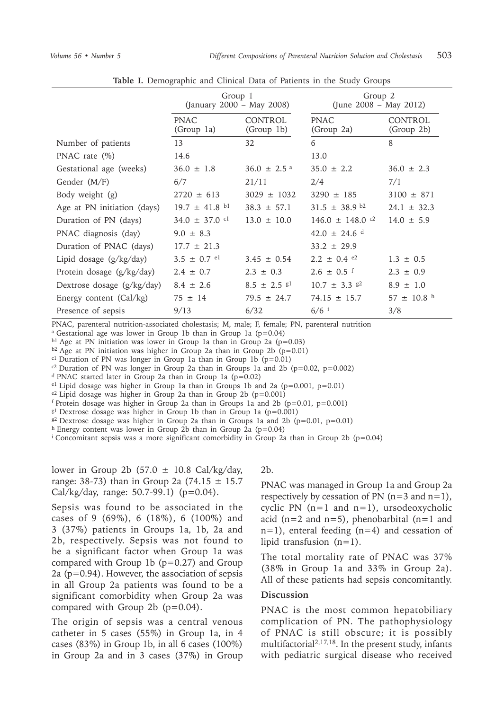|                              | Group 1<br>(January 2000 – May 2008) |                             | Group 2<br>(June $2008 - May 2012$ ) |                              |
|------------------------------|--------------------------------------|-----------------------------|--------------------------------------|------------------------------|
|                              | <b>PNAC</b><br>(Group 1a)            | CONTROL<br>(Group 1b)       | <b>PNAC</b><br>(Group 2a)            | <b>CONTROL</b><br>(Group 2b) |
| Number of patients           | 13                                   | 32                          | 6                                    | 8                            |
| PNAC rate $(\%)$             | 14.6                                 |                             | 13.0                                 |                              |
| Gestational age (weeks)      | $36.0 \pm 1.8$                       | $36.0 \pm 2.5$ <sup>a</sup> | $35.0 \pm 2.2$                       | $36.0 \pm 2.3$               |
| Gender (M/F)                 | 6/7                                  | 21/11                       | 2/4                                  | 7/1                          |
| Body weight (g)              | $2720 \pm 613$                       | $3029 \pm 1032$             | $3290 \pm 185$                       | $3100 \pm 871$               |
| Age at PN initiation (days)  | $19.7 \pm 41.8$ bl                   | $38.3 \pm 57.1$             | $31.5 \pm 38.9$ b2                   | $24.1 \pm 32.3$              |
| Duration of PN (days)        | $34.0 \pm 37.0$ cl                   | $13.0 \pm 10.0$             | $146.0 \pm 148.0$ c <sup>2</sup>     | $14.0 \pm 5.9$               |
| PNAC diagnosis (day)         | $9.0 \pm 8.3$                        |                             | $42.0 \pm 24.6$ <sup>d</sup>         |                              |
| Duration of PNAC (days)      | $17.7 \pm 21.3$                      |                             | $33.2 \pm 29.9$                      |                              |
| Lipid dosage $(g/kg/day)$    | $3.5 \pm 0.7$ el                     | $3.45 \pm 0.54$             | $2.2 \pm 0.4$ e2                     | $1.3 + 0.5$                  |
| Protein dosage (g/kg/day)    | $2.4 \pm 0.7$                        | $2.3 \pm 0.3$               | $2.6 \pm 0.5$ f                      | $2.3 \pm 0.9$                |
| Dextrose dosage $(g/kg/day)$ | $8.4 \pm 2.6$                        | $8.5 \pm 2.5$ $8^{1}$       | $10.7 \pm 3.3$ $\frac{g2}{g}$        | $8.9 \pm 1.0$                |
| Energy content (Cal/kg)      | $75 \pm 14$                          | $79.5 \pm 24.7$             | $74.15 \pm 15.7$                     | $57 \pm 10.8$ h              |
| Presence of sepsis           | 9/13                                 | 6/32                        | $6/6$ <sup>i</sup>                   | 3/8                          |

**Table I.** Demographic and Clinical Data of Patients in the Study Groups

PNAC, parenteral nutrition-associated cholestasis; M, male; F, female; PN, parenteral nutrition

a Gestational age was lower in Group 1b than in Group 1a (p=0.04)

b1 Age at PN initiation was lower in Group 1a than in Group 2a (p=0.03)

 $b2$  Age at PN initiation was higher in Group 2a than in Group 2b (p=0.01)

 $c1$  Duration of PN was longer in Group 1a than in Group 1b (p=0.01)

 $c<sup>2</sup>$  Duration of PN was longer in Group 2a than in Groups 1a and 2b (p=0.02, p=0.002)

d PNAC started later in Group 2a than in Group 1a (p=0.02)

 $e1$  Lipid dosage was higher in Group 1a than in Groups 1b and 2a (p=0.001, p=0.01)

 $e^2$  Lipid dosage was higher in Group 2a than in Group 2b (p=0.001)

f Protein dosage was higher in Group 2a than in Groups 1a and 2b (p=0.01, p=0.001)

 $g1$  Dextrose dosage was higher in Group 1b than in Group 1a (p=0.001)

 $g^2$  Dextrose dosage was higher in Group 2a than in Groups 1a and 2b (p=0.01, p=0.01)

h Energy content was lower in Group 2b than in Group 2a (p=0.04)

<sup>i</sup> Concomitant sepsis was a more significant comorbidity in Group 2a than in Group 2b ( $p=0.04$ )

lower in Group 2b  $(57.0 \pm 10.8 \text{ Cal/kg/day})$ range: 38-73) than in Group 2a (74.15  $\pm$  15.7 Cal/kg/day, range: 50.7-99.1) (p=0.04).

Sepsis was found to be associated in the cases of 9 (69%), 6 (18%), 6 (100%) and 3 (37%) patients in Groups 1a, 1b, 2a and 2b, respectively. Sepsis was not found to be a significant factor when Group 1a was compared with Group 1b  $(p=0.27)$  and Group 2a (p=0.94). However, the association of sepsis in all Group 2a patients was found to be a significant comorbidity when Group 2a was compared with Group  $2b$  ( $p=0.04$ ).

The origin of sepsis was a central venous catheter in 5 cases (55%) in Group 1a, in 4 cases (83%) in Group 1b, in all 6 cases (100%) in Group 2a and in 3 cases (37%) in Group

#### 2b.

PNAC was managed in Group 1a and Group 2a respectively by cessation of PN  $(n=3 \text{ and } n=1)$ , cyclic PN  $(n=1$  and  $n=1)$ , ursodeoxycholic acid ( $n=2$  and  $n=5$ ), phenobarbital ( $n=1$  and n=1), enteral feeding (n=4) and cessation of lipid transfusion  $(n=1)$ .

The total mortality rate of PNAC was 37% (38% in Group 1a and 33% in Group 2a). All of these patients had sepsis concomitantly.

## **Discussion**

PNAC is the most common hepatobiliary complication of PN. The pathophysiology of PNAC is still obscure; it is possibly multifactorial<sup>2,17,18</sup>. In the present study, infants with pediatric surgical disease who received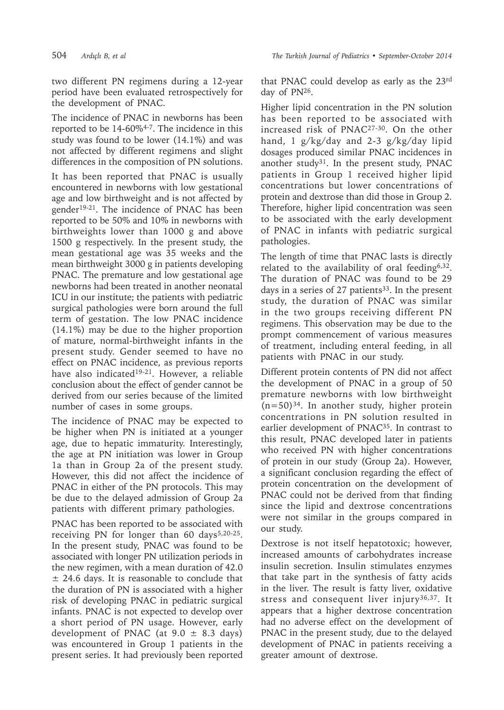two different PN regimens during a 12-year period have been evaluated retrospectively for the development of PNAC.

The incidence of PNAC in newborns has been reported to be  $14-60\%^{4-7}$ . The incidence in this study was found to be lower (14.1%) and was not affected by different regimens and slight differences in the composition of PN solutions.

It has been reported that PNAC is usually encountered in newborns with low gestational age and low birthweight and is not affected by gender19-21. The incidence of PNAC has been reported to be 50% and 10% in newborns with birthweights lower than 1000 g and above 1500 g respectively. In the present study, the mean gestational age was 35 weeks and the mean birthweight 3000 g in patients developing PNAC. The premature and low gestational age newborns had been treated in another neonatal ICU in our institute; the patients with pediatric surgical pathologies were born around the full term of gestation. The low PNAC incidence (14.1%) may be due to the higher proportion of mature, normal-birthweight infants in the present study. Gender seemed to have no effect on PNAC incidence, as previous reports have also indicated<sup>19-21</sup>. However, a reliable conclusion about the effect of gender cannot be derived from our series because of the limited number of cases in some groups.

The incidence of PNAC may be expected to be higher when PN is initiated at a younger age, due to hepatic immaturity. Interestingly, the age at PN initiation was lower in Group 1a than in Group 2a of the present study. However, this did not affect the incidence of PNAC in either of the PN protocols. This may be due to the delayed admission of Group 2a patients with different primary pathologies.

PNAC has been reported to be associated with receiving PN for longer than  $60 \text{ days}^{5,20-25}$ . In the present study, PNAC was found to be associated with longer PN utilization periods in the new regimen, with a mean duration of 42.0  $±$  24.6 days. It is reasonable to conclude that the duration of PN is associated with a higher risk of developing PNAC in pediatric surgical infants. PNAC is not expected to develop over a short period of PN usage. However, early development of PNAC (at  $9.0 \pm 8.3$  days) was encountered in Group 1 patients in the present series. It had previously been reported

that PNAC could develop as early as the 23rd day of PN26.

Higher lipid concentration in the PN solution has been reported to be associated with increased risk of PNAC27-30. On the other hand, 1 g/kg/day and 2-3 g/kg/day lipid dosages produced similar PNAC incidences in another study<sup>31</sup>. In the present study, PNAC patients in Group 1 received higher lipid concentrations but lower concentrations of protein and dextrose than did those in Group 2. Therefore, higher lipid concentration was seen to be associated with the early development of PNAC in infants with pediatric surgical pathologies.

The length of time that PNAC lasts is directly related to the availability of oral feeding6,32. The duration of PNAC was found to be 29 days in a series of 27 patients<sup>33</sup>. In the present study, the duration of PNAC was similar in the two groups receiving different PN regimens. This observation may be due to the prompt commencement of various measures of treatment, including enteral feeding, in all patients with PNAC in our study.

Different protein contents of PN did not affect the development of PNAC in a group of 50 premature newborns with low birthweight  $(n=50)^{34}$ . In another study, higher protein concentrations in PN solution resulted in earlier development of PNAC35. In contrast to this result, PNAC developed later in patients who received PN with higher concentrations of protein in our study (Group 2a). However, a significant conclusion regarding the effect of protein concentration on the development of PNAC could not be derived from that finding since the lipid and dextrose concentrations were not similar in the groups compared in our study.

Dextrose is not itself hepatotoxic; however, increased amounts of carbohydrates increase insulin secretion. Insulin stimulates enzymes that take part in the synthesis of fatty acids in the liver. The result is fatty liver, oxidative stress and consequent liver injury<sup>36,37</sup>. It appears that a higher dextrose concentration had no adverse effect on the development of PNAC in the present study, due to the delayed development of PNAC in patients receiving a greater amount of dextrose.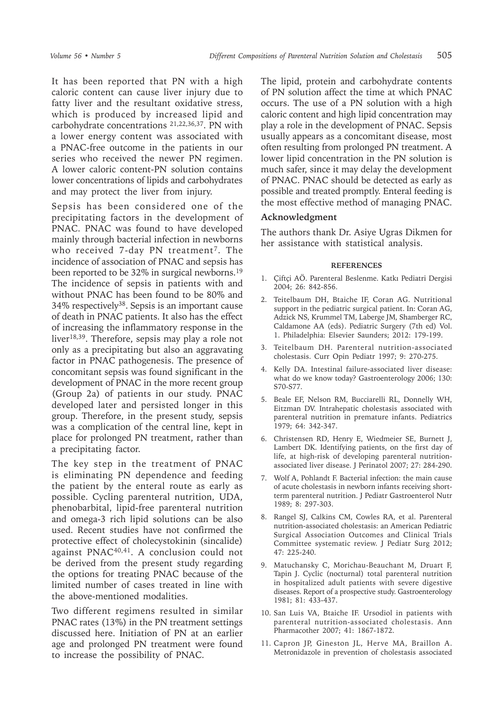It has been reported that PN with a high caloric content can cause liver injury due to fatty liver and the resultant oxidative stress, which is produced by increased lipid and carbohydrate concentrations 21,22,36,37. PN with a lower energy content was associated with a PNAC-free outcome in the patients in our series who received the newer PN regimen. A lower caloric content-PN solution contains lower concentrations of lipids and carbohydrates and may protect the liver from injury.

Sepsis has been considered one of the precipitating factors in the development of PNAC. PNAC was found to have developed mainly through bacterial infection in newborns who received 7-day PN treatment<sup>7</sup>. The incidence of association of PNAC and sepsis has been reported to be 32% in surgical newborns.<sup>19</sup> The incidence of sepsis in patients with and without PNAC has been found to be 80% and 34% respectively38. Sepsis is an important cause of death in PNAC patients. It also has the effect of increasing the inflammatory response in the liver18,39. Therefore, sepsis may play a role not only as a precipitating but also an aggravating factor in PNAC pathogenesis. The presence of concomitant sepsis was found significant in the development of PNAC in the more recent group (Group 2a) of patients in our study. PNAC developed later and persisted longer in this group. Therefore, in the present study, sepsis was a complication of the central line, kept in place for prolonged PN treatment, rather than a precipitating factor.

The key step in the treatment of PNAC is eliminating PN dependence and feeding the patient by the enteral route as early as possible. Cycling parenteral nutrition, UDA, phenobarbital, lipid-free parenteral nutrition and omega-3 rich lipid solutions can be also used. Recent studies have not confirmed the protective effect of cholecystokinin (sincalide) against PNAC<sup>40,41</sup>. A conclusion could not be derived from the present study regarding the options for treating PNAC because of the limited number of cases treated in line with the above-mentioned modalities.

Two different regimens resulted in similar PNAC rates (13%) in the PN treatment settings discussed here. Initiation of PN at an earlier age and prolonged PN treatment were found to increase the possibility of PNAC.

The lipid, protein and carbohydrate contents of PN solution affect the time at which PNAC occurs. The use of a PN solution with a high caloric content and high lipid concentration may play a role in the development of PNAC. Sepsis usually appears as a concomitant disease, most often resulting from prolonged PN treatment. A lower lipid concentration in the PN solution is much safer, since it may delay the development of PNAC. PNAC should be detected as early as possible and treated promptly. Enteral feeding is the most effective method of managing PNAC.

## **Acknowledgment**

The authors thank Dr. Asiye Ugras Dikmen for her assistance with statistical analysis.

### **REFERENCES**

- 1. Çiftçi AÖ. Parenteral Beslenme. Katkı Pediatri Dergisi 2004; 26: 842-856.
- 2. Teitelbaum DH, Btaiche IF, Coran AG. Nutritional support in the pediatric surgical patient. In: Coran AG, Adzick NS, Krummel TM, Laberge JM, Shamberger RC, Caldamone AA (eds). Pediatric Surgery (7th ed) Vol. 1. Philadelphia: Elsevier Saunders; 2012: 179-199.
- 3. Teitelbaum DH. Parenteral nutrition-associated cholestasis. Curr Opin Pediatr 1997; 9: 270-275.
- 4. Kelly DA. Intestinal failure-associated liver disease: what do we know today? Gastroenterology 2006; 130: S70-S77.
- 5. Beale EF, Nelson RM, Bucciarelli RL, Donnelly WH, Eitzman DV. Intrahepatic cholestasis associated with parenteral nutrition in premature infants. Pediatrics 1979; 64: 342-347.
- 6. Christensen RD, Henry E, Wiedmeier SE, Burnett J, Lambert DK. Identifying patients, on the first day of life, at high-risk of developing parenteral nutritionassociated liver disease. J Perinatol 2007; 27: 284-290.
- 7. Wolf A, Pohlandt F. Bacterial infection: the main cause of acute cholestasis in newborn infants receiving shortterm parenteral nutrition. J Pediatr Gastroenterol Nutr 1989; 8: 297-303.
- 8. Rangel SJ, Calkins CM, Cowles RA, et al. Parenteral nutrition-associated cholestasis: an American Pediatric Surgical Association Outcomes and Clinical Trials Committee systematic review. J Pediatr Surg 2012; 47: 225-240.
- 9. Matuchansky C, Morichau-Beauchant M, Druart F, Tapin J. Cyclic (nocturnal) total parenteral nutrition in hospitalized adult patients with severe digestive diseases. Report of a prospective study. Gastroenterology 1981; 81: 433-437.
- 10. San Luis VA, Btaiche IF. Ursodiol in patients with parenteral nutrition-associated cholestasis. Ann Pharmacother 2007; 41: 1867-1872.
- 11. Capron JP, Gineston JL, Herve MA, Braillon A. Metronidazole in prevention of cholestasis associated